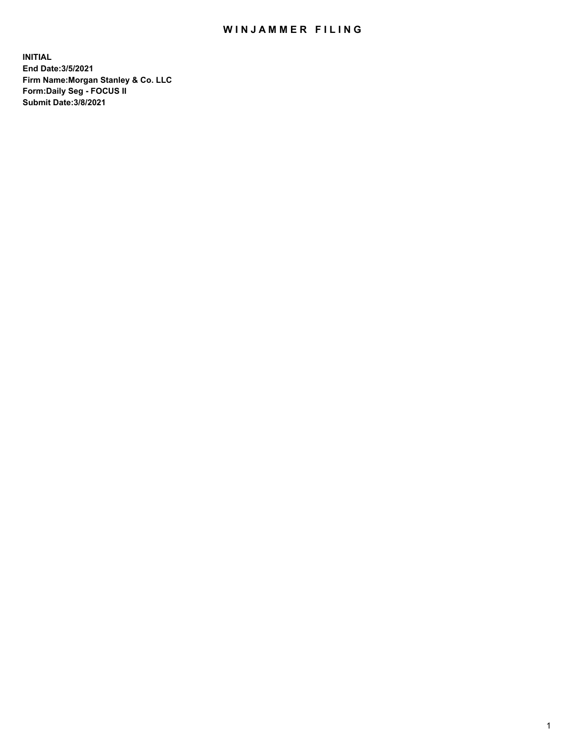## WIN JAMMER FILING

**INITIAL End Date:3/5/2021 Firm Name:Morgan Stanley & Co. LLC Form:Daily Seg - FOCUS II Submit Date:3/8/2021**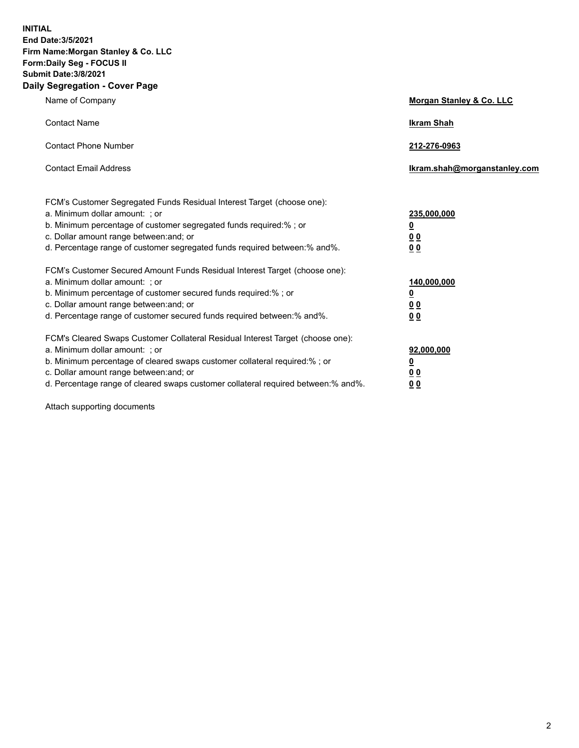**INITIAL End Date:3/5/2021 Firm Name:Morgan Stanley & Co. LLC Form:Daily Seg - FOCUS II Submit Date:3/8/2021 Daily Segregation - Cover Page**

| Name of Company                                                                                                                                                                                                                                                                                                                | Morgan Stanley & Co. LLC                                   |
|--------------------------------------------------------------------------------------------------------------------------------------------------------------------------------------------------------------------------------------------------------------------------------------------------------------------------------|------------------------------------------------------------|
| <b>Contact Name</b>                                                                                                                                                                                                                                                                                                            | <b>Ikram Shah</b>                                          |
| <b>Contact Phone Number</b>                                                                                                                                                                                                                                                                                                    | 212-276-0963                                               |
| <b>Contact Email Address</b>                                                                                                                                                                                                                                                                                                   | lkram.shah@morganstanley.com                               |
| FCM's Customer Segregated Funds Residual Interest Target (choose one):<br>a. Minimum dollar amount: ; or<br>b. Minimum percentage of customer segregated funds required:% ; or<br>c. Dollar amount range between: and; or<br>d. Percentage range of customer segregated funds required between:% and%.                         | 235,000,000<br><u>0</u><br><u>00</u><br>0 <sup>0</sup>     |
| FCM's Customer Secured Amount Funds Residual Interest Target (choose one):<br>a. Minimum dollar amount: ; or<br>b. Minimum percentage of customer secured funds required:%; or<br>c. Dollar amount range between: and; or<br>d. Percentage range of customer secured funds required between:% and%.                            | 140,000,000<br><u>0</u><br><u>0 0</u><br>0 Q               |
| FCM's Cleared Swaps Customer Collateral Residual Interest Target (choose one):<br>a. Minimum dollar amount: ; or<br>b. Minimum percentage of cleared swaps customer collateral required:% ; or<br>c. Dollar amount range between: and; or<br>d. Percentage range of cleared swaps customer collateral required between:% and%. | 92,000,000<br><u>0</u><br>0 <sup>0</sup><br>0 <sub>0</sub> |

Attach supporting documents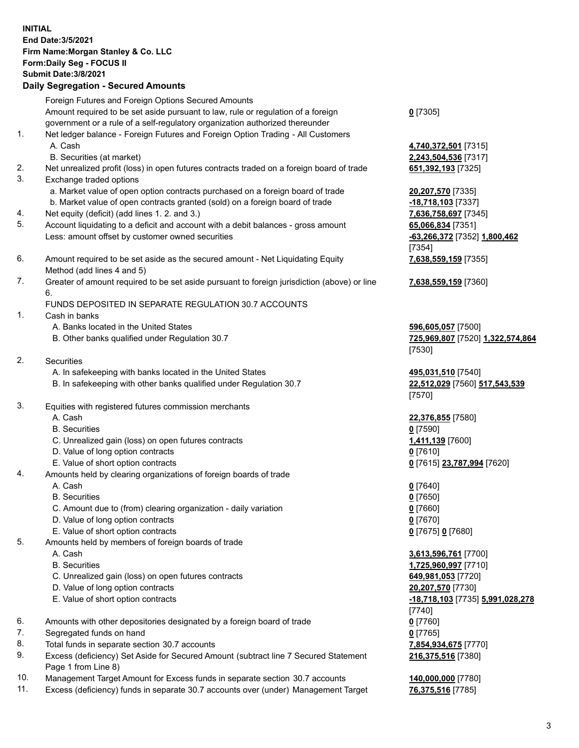## **INITIAL End Date:3/5/2021 Firm Name:Morgan Stanley & Co. LLC Form:Daily Seg - FOCUS II Submit Date:3/8/2021 Daily Segregation - Secured Amounts**

Foreign Futures and Foreign Options Secured Amounts Amount required to be set aside pursuant to law, rule or regulation of a foreign government or a rule of a self-regulatory organization authorized thereunder 1. Net ledger balance - Foreign Futures and Foreign Option Trading - All Customers A. Cash **4,740,372,501** [7315] B. Securities (at market) **2,243,504,536** [7317] 2. Net unrealized profit (loss) in open futures contracts traded on a foreign board of trade **651,392,193** [7325] 3. Exchange traded options a. Market value of open option contracts purchased on a foreign board of trade **20,207,570** [7335] b. Market value of open contracts granted (sold) on a foreign board of trade **-18,718,103** [7337] 4. Net equity (deficit) (add lines 1. 2. and 3.) **7,636,758,697** [7345] 5. Account liquidating to a deficit and account with a debit balances - gross amount **65,066,834** [7351] Less: amount offset by customer owned securities **-63,266,372** [7352] **1,800,462** 6. Amount required to be set aside as the secured amount - Net Liquidating Equity Method (add lines 4 and 5) 7. Greater of amount required to be set aside pursuant to foreign jurisdiction (above) or line 6. FUNDS DEPOSITED IN SEPARATE REGULATION 30.7 ACCOUNTS 1. Cash in banks A. Banks located in the United States **596,605,057** [7500] B. Other banks qualified under Regulation 30.7 **725,969,807** [7520] **1,322,574,864** 2. Securities A. In safekeeping with banks located in the United States **495,031,510** [7540] B. In safekeeping with other banks qualified under Regulation 30.7 **22,512,029** [7560] **517,543,539** 3. Equities with registered futures commission merchants A. Cash **22,376,855** [7580] B. Securities **0** [7590] C. Unrealized gain (loss) on open futures contracts **1,411,139** [7600] D. Value of long option contracts **0** [7610] E. Value of short option contracts **0** [7615] **23,787,994** [7620] 4. Amounts held by clearing organizations of foreign boards of trade A. Cash **0** [7640]

- B. Securities **0** [7650]
- C. Amount due to (from) clearing organization daily variation **0** [7660]
- D. Value of long option contracts **0** [7670]
- E. Value of short option contracts **0** [7675] **0** [7680]
- 5. Amounts held by members of foreign boards of trade
	-
	-
	- C. Unrealized gain (loss) on open futures contracts **649,981,053** [7720]
	- D. Value of long option contracts **20,207,570** [7730]
	-
- 6. Amounts with other depositories designated by a foreign board of trade **0** [7760]
- 7. Segregated funds on hand **0** [7765]
- 8. Total funds in separate section 30.7 accounts **7,854,934,675** [7770]
- 9. Excess (deficiency) Set Aside for Secured Amount (subtract line 7 Secured Statement Page 1 from Line 8)
- 10. Management Target Amount for Excess funds in separate section 30.7 accounts **140,000,000** [7780]
- 11. Excess (deficiency) funds in separate 30.7 accounts over (under) Management Target **76,375,516** [7785]

**0** [7305]

[7354] **7,638,559,159** [7355]

**7,638,559,159** [7360]

[7530]

[7570]

 A. Cash **3,613,596,761** [7700] B. Securities **1,725,960,997** [7710] E. Value of short option contracts **-18,718,103** [7735] **5,991,028,278** [7740] **216,375,516** [7380]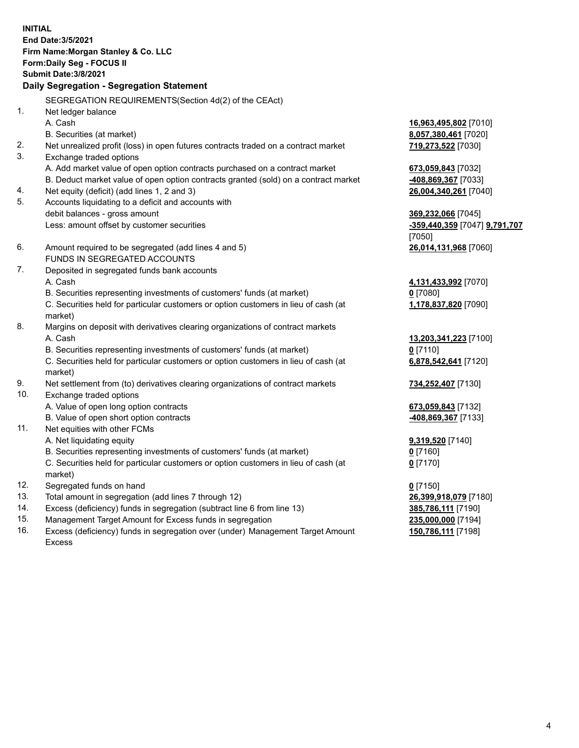**INITIAL End Date:3/5/2021 Firm Name:Morgan Stanley & Co. LLC Form:Daily Seg - FOCUS II Submit Date:3/8/2021 Daily Segregation - Segregation Statement** SEGREGATION REQUIREMENTS(Section 4d(2) of the CEAct) 1. Net ledger balance A. Cash **16,963,495,802** [7010] B. Securities (at market) **8,057,380,461** [7020] 2. Net unrealized profit (loss) in open futures contracts traded on a contract market **719,273,522** [7030] 3. Exchange traded options A. Add market value of open option contracts purchased on a contract market **673,059,843** [7032] B. Deduct market value of open option contracts granted (sold) on a contract market **-408,869,367** [7033] 4. Net equity (deficit) (add lines 1, 2 and 3) **26,004,340,261** [7040] 5. Accounts liquidating to a deficit and accounts with debit balances - gross amount **369,232,066** [7045] Less: amount offset by customer securities **-359,440,359** [7047] **9,791,707** [7050] 6. Amount required to be segregated (add lines 4 and 5) **26,014,131,968** [7060] FUNDS IN SEGREGATED ACCOUNTS 7. Deposited in segregated funds bank accounts A. Cash **4,131,433,992** [7070] B. Securities representing investments of customers' funds (at market) **0** [7080] C. Securities held for particular customers or option customers in lieu of cash (at market) **1,178,837,820** [7090] 8. Margins on deposit with derivatives clearing organizations of contract markets A. Cash **13,203,341,223** [7100] B. Securities representing investments of customers' funds (at market) **0** [7110] C. Securities held for particular customers or option customers in lieu of cash (at market) **6,878,542,641** [7120] 9. Net settlement from (to) derivatives clearing organizations of contract markets **734,252,407** [7130] 10. Exchange traded options A. Value of open long option contracts **673,059,843** [7132] B. Value of open short option contracts **and the set of our original contracts -408,869,367** [7133] 11. Net equities with other FCMs A. Net liquidating equity **9,319,520** [7140] B. Securities representing investments of customers' funds (at market) **0** [7160] C. Securities held for particular customers or option customers in lieu of cash (at market) **0** [7170] 12. Segregated funds on hand **0** [7150] 13. Total amount in segregation (add lines 7 through 12) **26,399,918,079** [7180] 14. Excess (deficiency) funds in segregation (subtract line 6 from line 13) **385,786,111** [7190] 15. Management Target Amount for Excess funds in segregation **235,000,000** [7194]

16. Excess (deficiency) funds in segregation over (under) Management Target Amount Excess

**150,786,111** [7198]